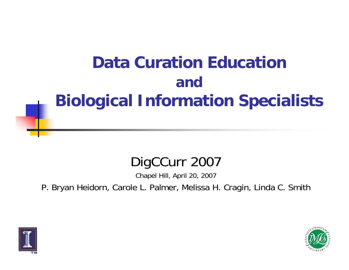# **Data Curation Education andBiological Information Specialists**

## DigCCurr 2007

Chapel Hill, April 20, 2007

P. Bryan Heidorn, Carole L. Palmer, Melissa H. Cragin, Linda C. Smith



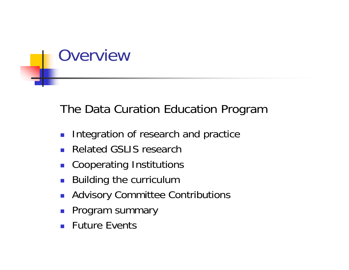

## The Data Curation Education Program

- $\mathcal{C}^{\mathcal{A}}$ Integration of research and practice
- Related GSLIS research
- $\mathbb{R}^n$ Cooperating Institutions
- $\mathcal{L}^{\mathcal{L}}$ Building the curriculum
- $\mathcal{L}^{\text{max}}_{\text{max}}$ Advisory Committee Contributions
- $\mathcal{L}(\mathcal{A})$ Program summary
- **Future Events**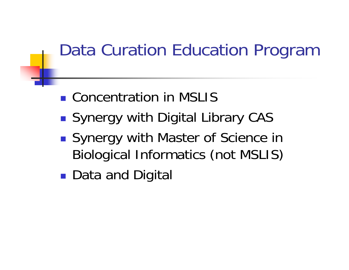# Data Curation Education Program

- Concentration in MSLIS
- ■ Synergy with Digital Library CAS
- ■ Synergy with Master of Science in Biological Informatics (not MSLIS)
- ■ Data and Digital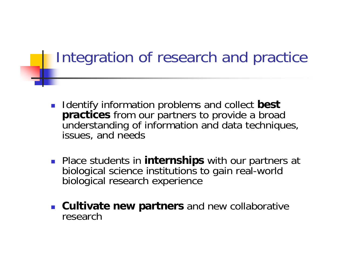## Integration of research and practice

- **IDENTIFY INFORMATION PROBLEMS AND COLLECT best practices** from our partners to provide a broad understanding of information and data techniques, issues, and needs
- **Place students in internships** with our partners at biological science institutions to gain real-world biological research experience
- **Cultivate new partners** and new collaborative research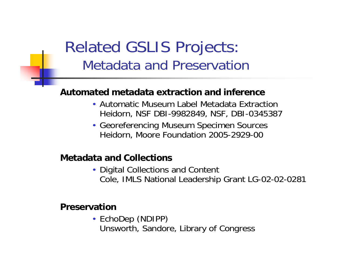## Related GSLIS Projects: Metadata and Preservation

### **Automated metadata extraction and inference**

- Automatic Museum Label Metadata Extraction Heidorn, NSF DBI-9982849, NSF, DBI-0345387
- Georeferencing Museum Specimen Sources Heidorn, Moore Foundation 2005-2929-00

#### **Metadata and Collections**

• Digital Collections and Content Cole, IMLS National Leadership Grant LG-02-02-0281

#### **Preservation**

• EchoDep (NDIPP) Unsworth, Sandore, Library of Congress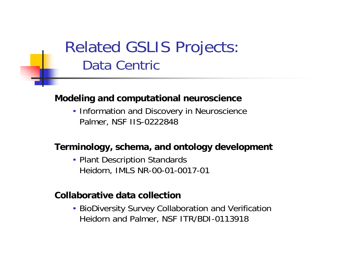## Related GSLIS Projects: Data Centric

### **Modeling and computational neuroscience**

• Information and Discovery in Neuroscience Palmer, NSF IIS-0222848

#### **Terminology, schema, and ontology development**

• Plant Description Standards Heidorn, IMLS NR-00-01-0017-01

#### **Collaborative data collection**

• BioDiversity Survey Collaboration and Verification Heidorn and Palmer, NSF ITR/BDI-0113918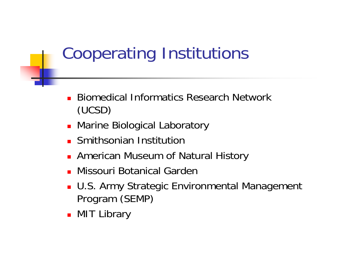# Cooperating Institutions

- **Biomedical Informatics Research Network** (UCSD)
- **Marine Biological Laboratory**
- **E** Smithsonian Institution
- **American Museum of Natural History**
- Missouri Botanical Garden
- U.S. Army Strategic Environmental Management Program (SEMP)
- **•** MIT Library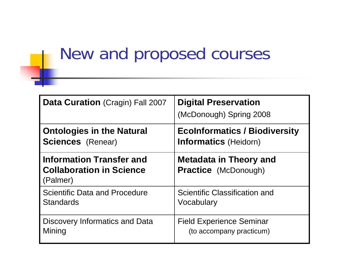# New and proposed courses

| Data Curation (Cragin) Fall 2007                                               | <b>Digital Preservation</b><br>(McDonough) Spring 2008       |
|--------------------------------------------------------------------------------|--------------------------------------------------------------|
| <b>Ontologies in the Natural</b>                                               | <b>EcoInformatics / Biodiversity</b>                         |
| <b>Sciences</b> (Renear)                                                       | <b>Informatics (Heidorn)</b>                                 |
| <b>Information Transfer and</b><br><b>Collaboration in Science</b><br>(Palmer) | <b>Metadata in Theory and</b><br><b>Practice</b> (McDonough) |
| <b>Scientific Data and Procedure</b>                                           | Scientific Classification and                                |
| <b>Standards</b>                                                               | Vocabulary                                                   |
| Discovery Informatics and Data                                                 | <b>Field Experience Seminar</b>                              |
| Mining                                                                         | (to accompany practicum)                                     |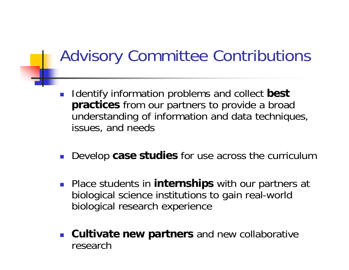# Advisory Committee Contributions

- $\mathcal{L}^{\text{max}}$  Identify information problems and collect **best practices** from our partners to provide a broad understanding of information and data techniques, issues, and needs
- $\mathcal{L}^{\mathcal{L}}$ Develop **case studies** for use across the curriculum
- **Place students in internships** with our partners at biological science institutions to gain real-world biological research experience
- **Cultivate new partners** and new collaborative research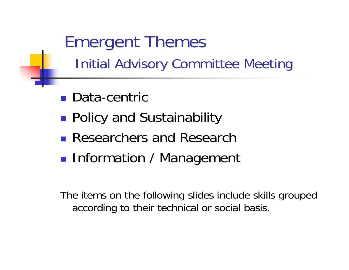Emergent Themes Initial Advisory Committee Meeting

- Data-centric
- **Policy and Sustainability**
- **Researchers and Research**
- **Service Service Information / Management**

The items on the following slides include skills grouped according to their technical or social basis.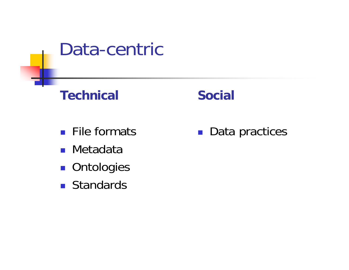

### **Technical**

### **Social**

- **File formats**
- Metadata
- **Ontologies**
- **Standards**

■ Data practices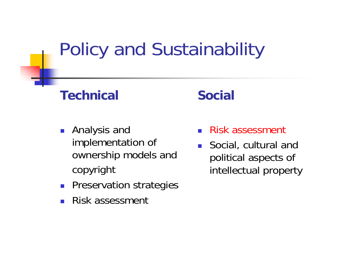# Policy and Sustainability

### **Technical**

- Analysis and implementation of ownership models and copyright
- $\mathcal{L}_{\rm{max}}$ Preservation strategies
- Ξ Risk assessment

### **Social**

- Ξ Risk assessment
- Ξ Social, cultural and political aspects of intellectual property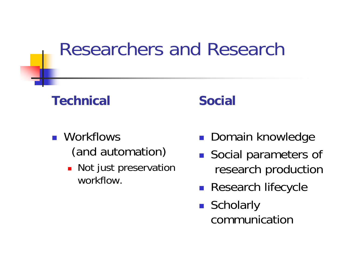# Researchers and Research

### **Technical**

### **N**orkflows (and automation)

**Not just preservation** workflow.

### **Social**

- **Domain knowledge**
- **Social parameters of** research production
- $\mathcal{L}^{\text{max}}$ Research lifecycle
- Scholarly communication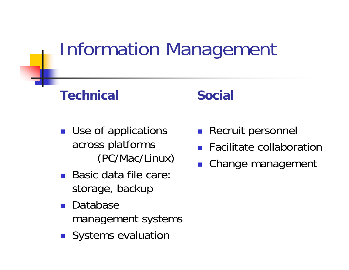# Information Management

### **Technical**

- **Use of applications** across platforms (PC/Mac/Linux)
- Basic data file care: storage, backup
- $\mathcal{L}^{\text{max}}$  Database management systems
- **I** Systems evaluation

### **Social**

- **Recruit personnel**
- **Facilitate collaboration**
- **Change management**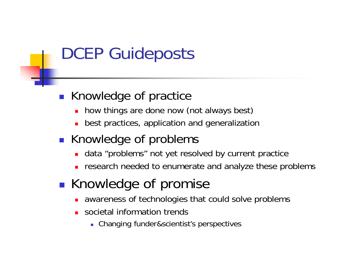# DCEP Guideposts

### **Knowledge of practice**

- ▉ how things are done now (not always best)
- П best practices, application and generalization
- **Knowledge of problems** 
	- data "problems" not yet resolved by current practice
	- П research needed to enumerate and analyze these problems
- $\mathbb{R}^3$ **Knowledge of promise** 
	- ▉ awareness of technologies that could solve problems
	- П societal information trends
		- Changing funder&scientist's perspectives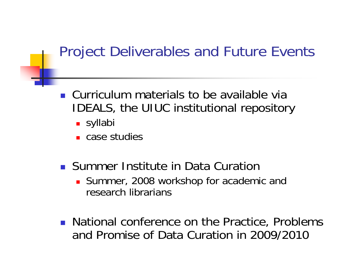## Project Deliverables and Future Events

- **Curriculum materials to be available via** IDEALS, the UIUC institutional repository
	- **■** syllabi
	- case studies
- **E.** Summer Institute in Data Curation
	- **Summer, 2008 workshop for academic and** research librarians
- **National conference on the Practice, Problems** and Promise of Data Curation in 2009/2010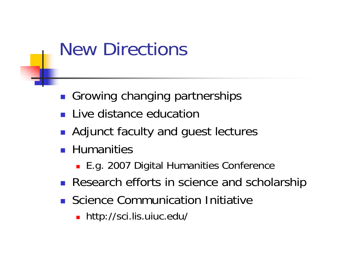# New Directions

- **Growing changing partnerships**
- **Live distance education**
- $\mathcal{L}_{\mathcal{A}}$ Adjunct faculty and guest lectures
- **Humanities** 
	- E.g. 2007 Digital Humanities Conference
- **Research efforts in science and scholarship**
- **Science Communication Initiative** 
	- http://sci.lis.uiuc.edu/